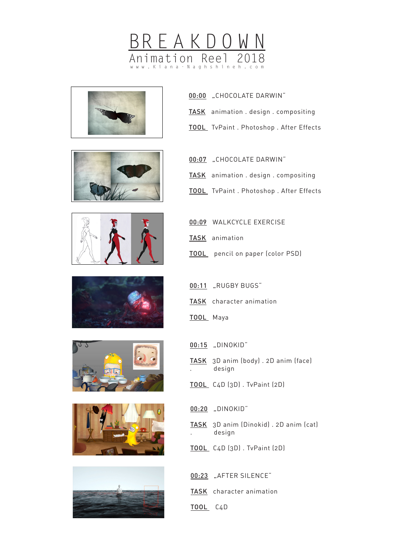















- 00:00 "CHOCOLATE DARWIN"
- TASK animation . design . compositing
- TOOL TvPaint . Photoshop . After Effects
- 00:07 "CHOCOLATE DARWIN"
- TASK animation . design . compositing
- TOOL TvPaint . Photoshop . After Effects
- 00:09 WALKCYCLE EXERCISE
- TASK animation
- TOOL pencil on paper (color PSD)
- 00:11 "RUGBY BUGS"
- TASK character animation
- TOOL Maya
- 00:15 "DINOKID"
- TASK 3D anim (body) . 2D anim (face) . design
- TOOL C4D (3D) . TvPaint (2D)

00:20 "DINOKID"

- TASK 3D anim (Dinokid) . 2D anim (cat) . design
- TOOL C4D (3D) . TvPaint (2D)

- TASK character animation
- TOOL C4D